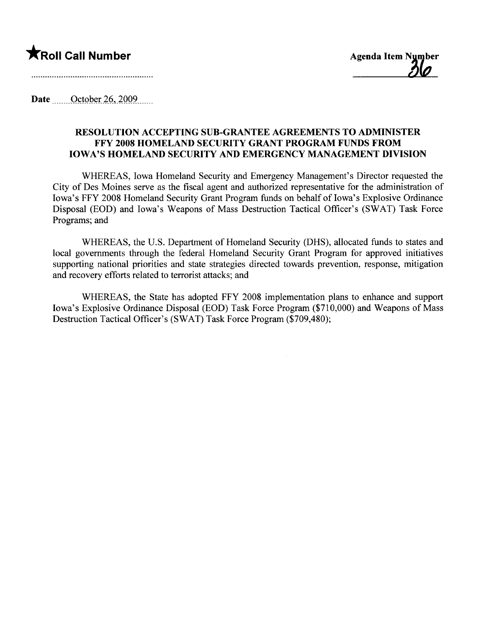## $\bigstar$ Roll Call Number  $\bigstar$

Date <u>Cotober 26</u>, 2009

## RESOLUTION ACCEPTING SUB-GRANTEE AGREEMENTS TO ADMINISTER FFY 2008 HOMELAND SECURITY GRANT PROGRAM FUNDS FROM IOWA'S HOMELAND SECURITY AND EMERGENCY MANAGEMENT DIVISION

WHEREAS, Iowa Homeland Security and Emergency Management's Director requested the City of Des Moines serve as the fiscal agent and authorized representative for the administration of Iowa's FFY 2008 Homeland Security Grant Program funds on behalf of Iowa's Explosive Ordinance Disposal (EOD) and Iowa's Weapons of Mass Destruction Tactical Officer's (SWAT) Task Force Programs; and

WHEREAS, the U.S. Department of Homeland Security (DHS), allocated funds to states and local governments through the federal Homeland Security Grant Program for approved initiatives supporting national priorities and state strategies directed towards prevention, response, mitigation and recovery efforts related to terrorist attacks; and

WHEREAS, the State has adopted FFY 2008 implementation plans to enhance and support Iowa's Explosive Ordinance Disposal (EOD) Task Force Program (\$710,000) and Weapons of Mass Destruction Tactical Officer's (SWAT) Task Force Program (\$709,480);